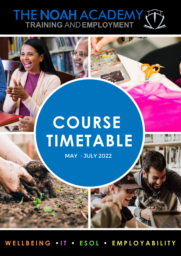# THE NOAH ACADEMY

## **COURSE TIMETABLE**

MAY - JULY 2022

WELLBEING . IT . ESOL . EMPLOYABILITY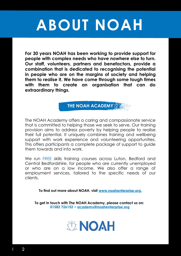## **ABOUT NOAH**

**For 30 years NOAH has been working to provide support for people with complex needs who have nowhere else to turn. Our staff, volunteers, partners and benefactors, provide a combination that is dedicated to recognising the potential in people who are on the margins of society and helping them to realise it. We have come through some tough times with them to create an organisation that can do extraordinary things.**



The NOAH Academy offers a caring and compassionate service that is committed to helping those we seek to serve. Our training provision aims to address poverty by helping people to realise their full potential. It uniquely combines training and wellbeing support with work experience and volunteering opportunities. This offers participants a complete package of support to guide them towards and into work.

We run FREE skills training courses across Luton, Bedford and Central Bedfordshire, for people who are currently unemployed or who are on a low income. We also offer a range of employment services, tailored to the specific needs of our clients.

**To find out more about NOAH, visit www.noahenterprise.org.**

**To get in touch with The NOAH Academy, please contact us on: 01582 726152 • academy@noahenterprise.org**

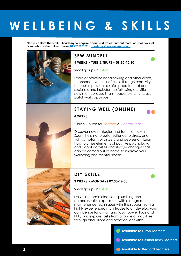### **W E L L B E I N G & S K I L L S**

**Please contact The NOAH Academy to enquire about start dates, find out more, or book yourself or somebody else onto a course: 01582 726152 • academy@noahenterprise.org**



### **SEW MINDFUL**

**4 WEEKS • TUES & THURS • 09:30-12:30**

Small groups in Luton

Learn or practice hand-sewing and other crafts, to enhance your mindfulness through creativity. he course provides a safe space to chat and socialise, and includes the following activities: slow stich collage, English paper piercing, crazy patchwork, applique.

### **STAYING WELL (ONLINE)**



Online Course for Bedford & Central Beds

Discover new strategies and techniques via Zoom, helping to build resilience to stress, and fight symptoms of anxiety and depression. Learn how to utilise elements of positive psychology, and adopt activities and lifestyle changes that can be carried out at home to improve your wellbeing and mental health.



### **DIY SKILLS**

#### **3 WEEKS • MONDAYS 09:30-16:30**

Small groups in Luton

Delve into basic electrical, plumbing and carpentry skills, experiment with a range of maintenance techniques with the support from a highly experienced multi trades tutor, develop your confidence for using hand tools, power tools and PPE, and explore tasks from a range of industries through discussions and practical activities.

**Available to Luton Learners**

**Available to Central Beds Learners**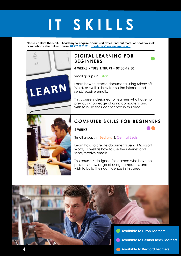### **IT S K I L L S**

**Please contact The NOAH Academy to enquire about start dates, find out more, or book yourself or somebody else onto a course: 01582 726152 • academy@noahenterprise.org**

### **DIGITAL LEARNING FOR BEGINNERS**



**4 WEEKS • TUES & THURS • 09:30-12:30**

Small groups in Luton

Learn how to create documents using Microsoft Word, as well as how to use the internet and send/receive emails.

This course is designed for learners who have no previous knowledge of using computers, and wish to build their confidence in this area.



LEARN

 $\overline{I}$ 

### **COMPUTER SKILLS FOR BEGINNERS**

#### **4 WEEKS**

Small groups in Bedford & Central Beds

Learn how to create documents using Microsoft Word, as well as how to use the internet and send/receive emails.

This course is designed for learners who have no previous knowledge of using computers, and wish to build their confidence in this area.

**Available to Luton Learners Available to Central Beds Learners Available to Bedford Learners I 4**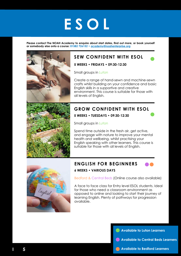## **E S O L**

**Please contact The NOAH Academy to enquire about start dates, find out more, or book yourself or somebody else onto a course: 01582 726152 • academy@noahenterprise.org**



### **SEW CONFIDENT WITH ESOL**

**5 WEEKS • FRIDAYS • 09:30-12:30**

Small groups in Luton

Create a range of hand-sewn and machine-sewn crafts whilst building on your confidence and basic English skills in a supportive and creative environment. This course is suitable for those with all levels of English.



### **GROW CONFIDENT WITH ESOL**

**5 WEEKS • TUESDAYS • 09:30-12:30**

Small groups in Luton

Spend time outside in the fresh air, get active, and engage with nature to improve your mental health and wellbeing, whilst practising your English speaking with other learners. This course is suitable for those with all levels of English.

### **ENGLISH FOR BEGINNERS 6 WEEKS • VARIOUS DAYS** Bedford & Central Beds (Online course also available)

A face to face class for Entry level ESOL students. Ideal for those who need a classroom environment as opposed to online and looking to start their journey of learning English. Plenty of pathways for progression available.

**Available to Luton Learners**

- **Available to Central Beds Learners**
- **Available to Bedford Learners**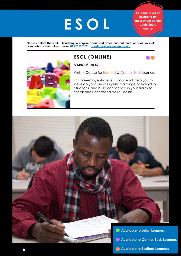## **E S O L**

**All learners will be invited to an assessment before beginning a course**

**Please contact The NOAH Academy to enquire about start dates, find out more, or book yourself or somebody else onto a course: 01582 726152 • academy@noahenterprise.org**



### **ESOL (ONLINE)**



### **VARIOUS DAYS**

Online Course for Bedford & Central Beds learners

This pre-entry/entry level 1 course will help you to develop your use of English in a range of everyday situations, and build confidence in your ability to speak and understand basic English.

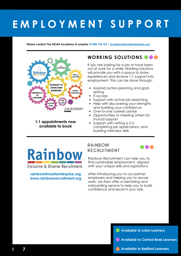### **E M P L O Y M E N T S U P P O R T**

Please contact The NOAH Academy to enquire: 01582 726152 • academy@noahenterprise.org



**1:1 appointments now available to book**

### **WORKING SOLUTIONS**

If you are looking for a job or have been out of work for a while, Working Solutions will provide you with a space to share experiences and receive 1:1 support into employment. This can be done through:

- Assisted action-planning and goalsetting
- IT access
- Support with active job searching
- Help with discovering your strengths and building your confidence
- One-to-one careers advise
- Opportunities to meeting others for mutual support
- Support with writing a CV, completing job applications, and building interview skills

### **Rainbow** Inclusive & Diverse Recruitment

#### **rainbow@noahenterprise.org www.rainbowrecruitment.org**

**I 7**

### RAINBOW RECRUITMENT



Rainbow Recruitment can help you to find sustainable employment, aligned with your unique skills and aspirations.

After introducing you to our partner employers and helping you to secure work, we then offer a mentoring and onboarding service to help you to build confidence and excel in your role.

**Available to Luton Learners**

- **Available to Central Beds Learners**
- **Available to Bedford Learners**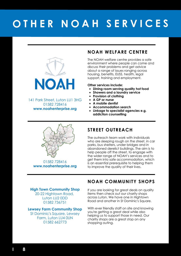### **O T H E R N O A H S E R V I C E S**



141 Park Street, Luton LU1 3HG 01582 728416 **www.noahenterprise.org**

### **NOAH WELFARE CENTRE**

The NOAH welfare centre provides a safe environment where people can come and discuss their problems and get advice about a range of issues ranging across housing, benefits, EUSS, health, legal support, training and employment.

**Other services include:**

- **Dining room serving quality hot food**
- **Showers and a laundry service**
- **Provision of clothing**
- **A GP or nurse**
- **A mobile dentist**
- **Accommodation search**
- **Linkage to specialist agencies e.g. addiction counselling**



01582 728416 **www.noahenterprise.org**

### **STREET OUTREACH**

The outreach team work with individuals who are sleeping rough on the street, in car parks, bus shelters, under bridges and in abandoned derelict buildings. The aim is to help people off the street, to engage with the wider range of NOAH's services and to get them into safe accommodation, which is an essential prerequisite to helping them to improve the quality of their lives.

### **NOAH COMMUNITY SHOPS**

#### **High Town Community Shop**

20-22 Hightown Road, Luton LU2 0DD 01582 736751

#### **Lewsey Farm Community Shop**

St Dominic's Square, Lewsey Farm, Luton LU4 0UN 01582 662773

If you are looking for great deals on quality items then check out our charity shops across Luton. We have one in Hightown Road and another in St Dominic's Square.

With ever friendly staff on site and knowing you're getting a great deal while also helping us to support those in need. Our charity shops are a great stop on any shopping outing.